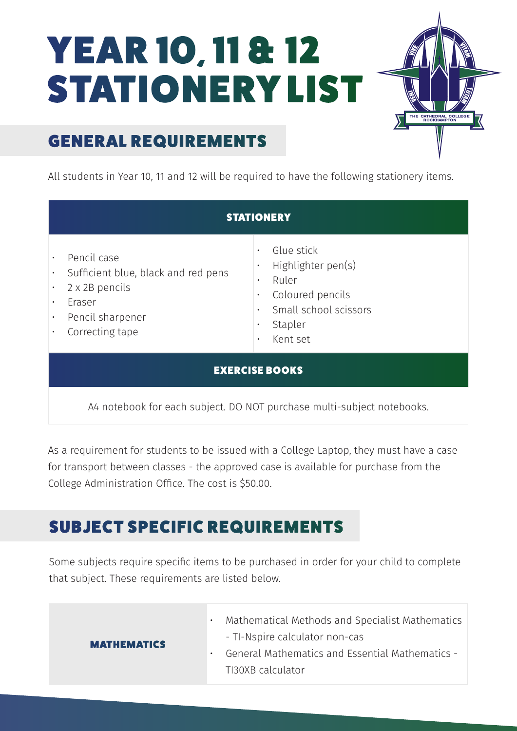## YEAR 10, 11 & 12 STATIONERY LIST



## GENERAL REQUIREMENTS

All students in Year 10, 11 and 12 will be required to have the following stationery items.

| <b>STATIONERY</b>                                                                                                                               |  |                                                                                                                                                      |  |  |
|-------------------------------------------------------------------------------------------------------------------------------------------------|--|------------------------------------------------------------------------------------------------------------------------------------------------------|--|--|
| Pencil case<br>Sufficient blue, black and red pens<br>$\bullet$<br>2 x 2B pencils<br>Eraser<br>$\bullet$<br>Pencil sharpener<br>Correcting tape |  | Glue stick<br>Highlighter pen(s)<br>Ruler<br>$\bullet$<br>Coloured pencils<br>$\bullet$<br>Small school scissors<br>Stapler<br>Kent set<br>$\bullet$ |  |  |
| <b>EXERCISE BOOKS</b>                                                                                                                           |  |                                                                                                                                                      |  |  |
| A4 notebook for each subject. DO NOT purchase multi-subject notebooks.                                                                          |  |                                                                                                                                                      |  |  |

As a requirement for students to be issued with a College Laptop, they must have a case for transport between classes - the approved case is available for purchase from the College Administration Office. The cost is \$50.00.

## SUBJECT SPECIFIC REQUIREMENTS

Some subjects require specific items to be purchased in order for your child to complete that subject. These requirements are listed below.

|                    | Mathematical Methods and Specialist Mathematics   |
|--------------------|---------------------------------------------------|
| <b>MATHEMATICS</b> | - TI-Nspire calculator non-cas                    |
|                    | - General Mathematics and Essential Mathematics - |
|                    | TI30XB calculator                                 |
|                    |                                                   |